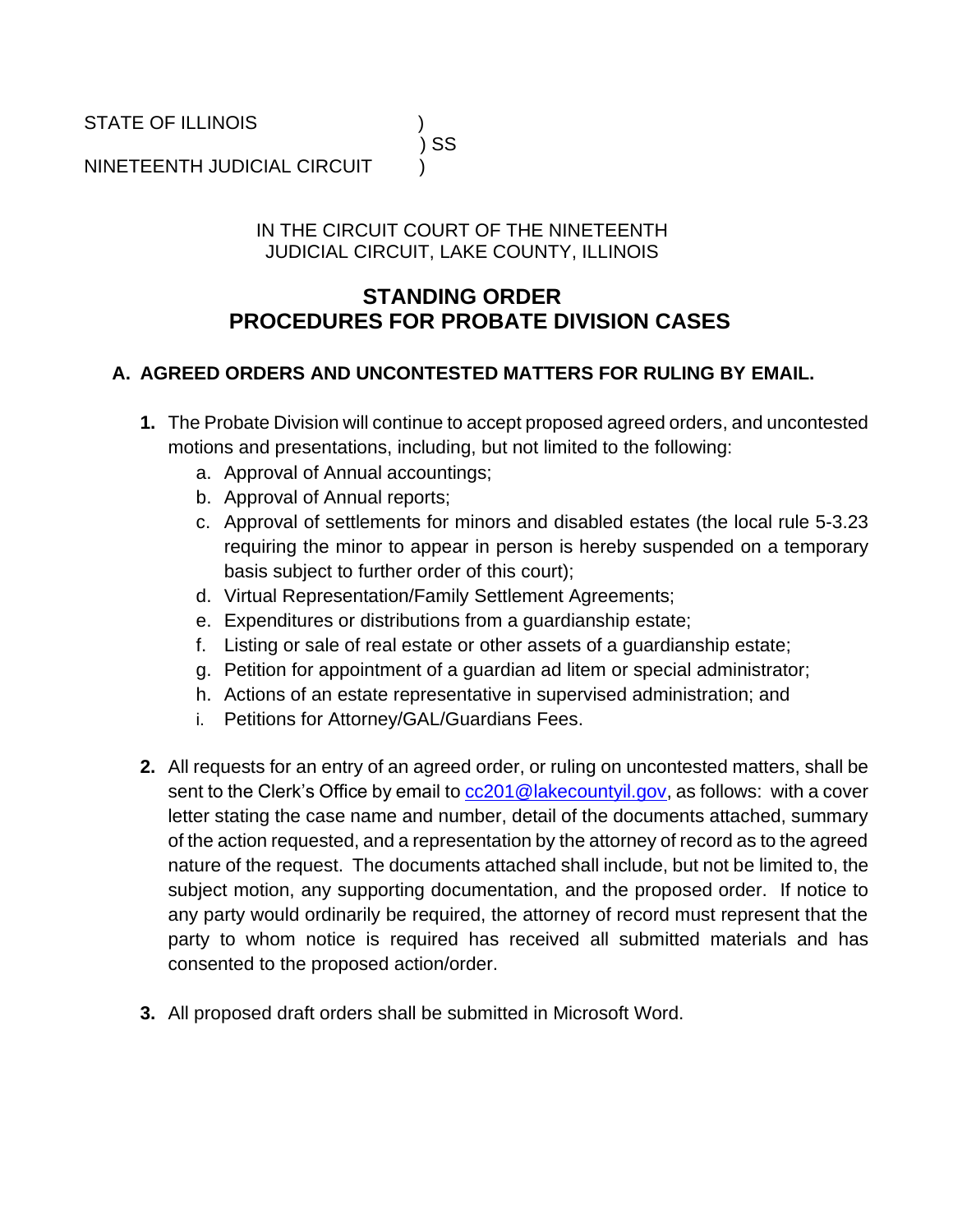STATE OF ILLINOIS )

# ) SS

NINETEENTH JUDICIAL CIRCUIT )

#### IN THE CIRCUIT COURT OF THE NINETEENTH JUDICIAL CIRCUIT, LAKE COUNTY, ILLINOIS

## **STANDING ORDER PROCEDURES FOR PROBATE DIVISION CASES**

### **A. AGREED ORDERS AND UNCONTESTED MATTERS FOR RULING BY EMAIL.**

- **1.** The Probate Division will continue to accept proposed agreed orders, and uncontested motions and presentations, including, but not limited to the following:
	- a. Approval of Annual accountings;
	- b. Approval of Annual reports;
	- c. Approval of settlements for minors and disabled estates (the local rule 5-3.23 requiring the minor to appear in person is hereby suspended on a temporary basis subject to further order of this court);
	- d. Virtual Representation/Family Settlement Agreements;
	- e. Expenditures or distributions from a guardianship estate;
	- f. Listing or sale of real estate or other assets of a guardianship estate;
	- g. Petition for appointment of a guardian ad litem or special administrator;
	- h. Actions of an estate representative in supervised administration; and
	- i. Petitions for Attorney/GAL/Guardians Fees.
- **2.** All requests for an entry of an agreed order, or ruling on uncontested matters, shall be sent to the Clerk's Office by email t[o cc201@lakecountyil.gov,](mailto:cc201@lakecountyil.gov) as follows: with a cover letter stating the case name and number, detail of the documents attached, summary of the action requested, and a representation by the attorney of record as to the agreed nature of the request. The documents attached shall include, but not be limited to, the subject motion, any supporting documentation, and the proposed order. If notice to any party would ordinarily be required, the attorney of record must represent that the party to whom notice is required has received all submitted materials and has consented to the proposed action/order.
- **3.** All proposed draft orders shall be submitted in Microsoft Word.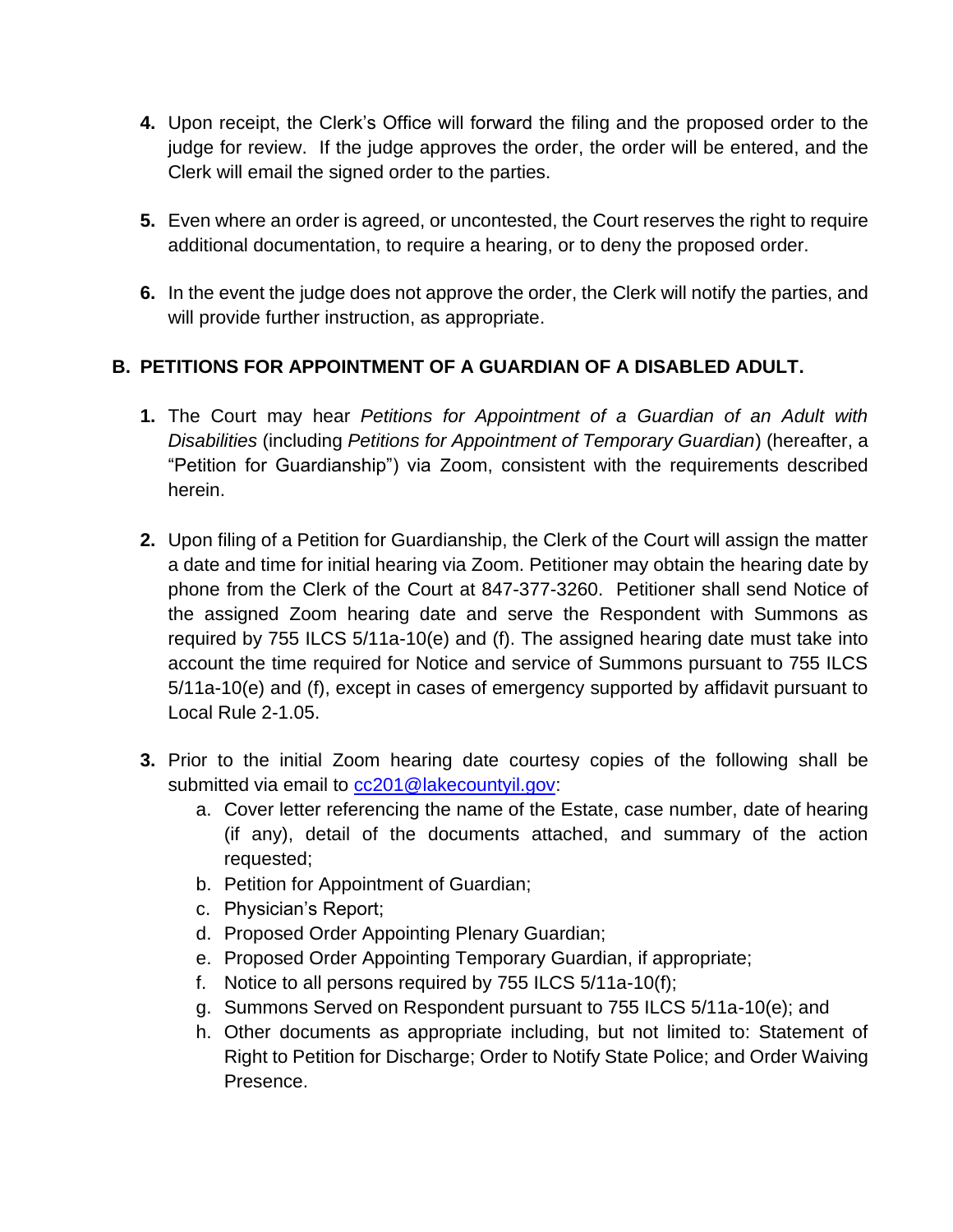- **4.** Upon receipt, the Clerk's Office will forward the filing and the proposed order to the judge for review. If the judge approves the order, the order will be entered, and the Clerk will email the signed order to the parties.
- **5.** Even where an order is agreed, or uncontested, the Court reserves the right to require additional documentation, to require a hearing, or to deny the proposed order.
- **6.** In the event the judge does not approve the order, the Clerk will notify the parties, and will provide further instruction, as appropriate.

### **B. PETITIONS FOR APPOINTMENT OF A GUARDIAN OF A DISABLED ADULT.**

- **1.** The Court may hear *Petitions for Appointment of a Guardian of an Adult with Disabilities* (including *Petitions for Appointment of Temporary Guardian*) (hereafter, a "Petition for Guardianship") via Zoom, consistent with the requirements described herein.
- **2.** Upon filing of a Petition for Guardianship, the Clerk of the Court will assign the matter a date and time for initial hearing via Zoom. Petitioner may obtain the hearing date by phone from the Clerk of the Court at 847-377-3260. Petitioner shall send Notice of the assigned Zoom hearing date and serve the Respondent with Summons as required by 755 ILCS 5/11a-10(e) and (f). The assigned hearing date must take into account the time required for Notice and service of Summons pursuant to 755 ILCS 5/11a-10(e) and (f), except in cases of emergency supported by affidavit pursuant to Local Rule 2-1.05.
- **3.** Prior to the initial Zoom hearing date courtesy copies of the following shall be submitted via email to [cc201@lakecountyil.gov:](mailto:cc201@lakecountyil.gov)
	- a. Cover letter referencing the name of the Estate, case number, date of hearing (if any), detail of the documents attached, and summary of the action requested;
	- b. Petition for Appointment of Guardian;
	- c. Physician's Report;
	- d. Proposed Order Appointing Plenary Guardian;
	- e. Proposed Order Appointing Temporary Guardian, if appropriate;
	- f. Notice to all persons required by 755 ILCS 5/11a-10(f);
	- g. Summons Served on Respondent pursuant to 755 ILCS 5/11a-10(e); and
	- h. Other documents as appropriate including, but not limited to: Statement of Right to Petition for Discharge; Order to Notify State Police; and Order Waiving Presence.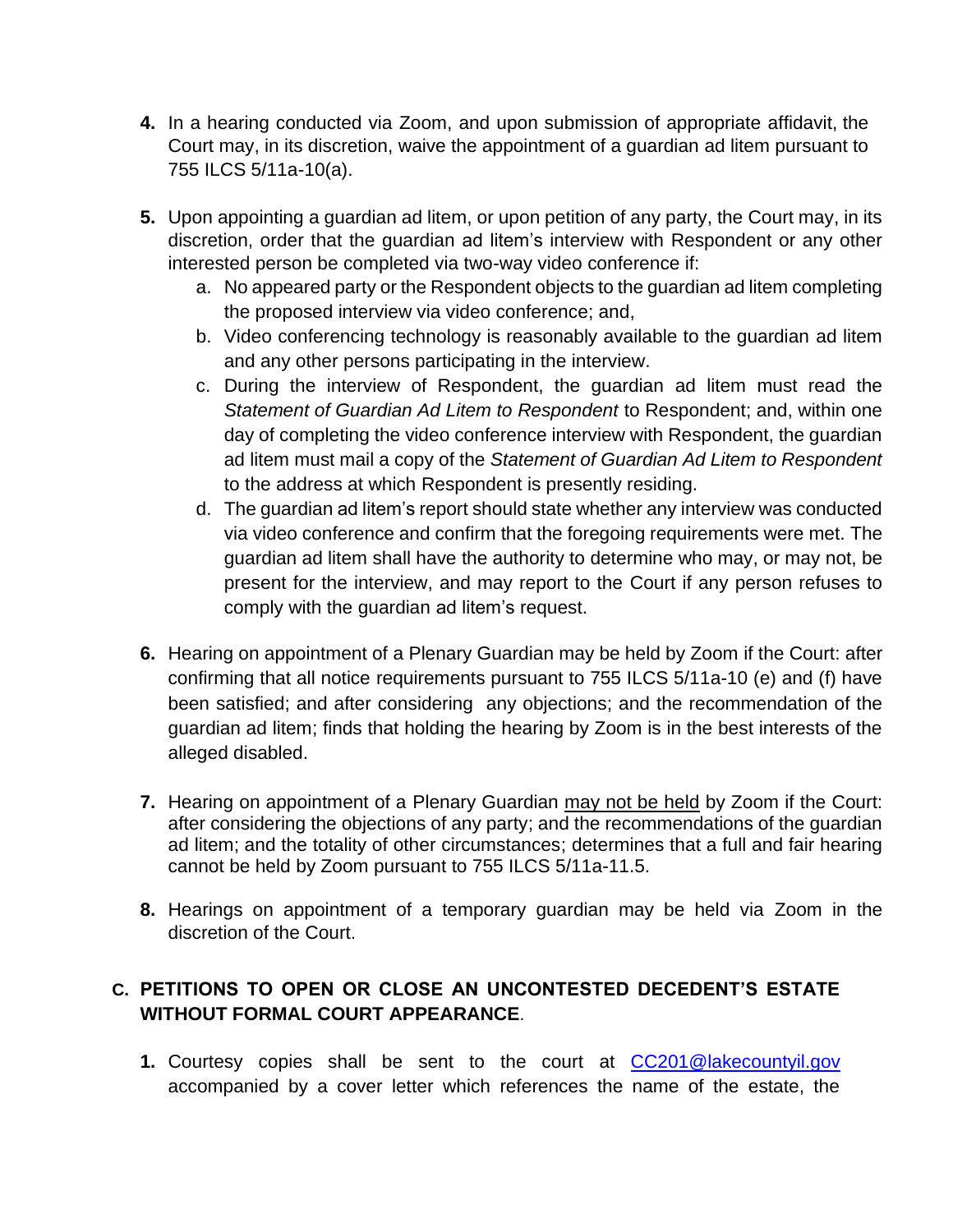- **4.** In a hearing conducted via Zoom, and upon submission of appropriate affidavit, the Court may, in its discretion, waive the appointment of a guardian ad litem pursuant to 755 ILCS 5/11a-10(a).
- **5.** Upon appointing a guardian ad litem, or upon petition of any party, the Court may, in its discretion, order that the guardian ad litem's interview with Respondent or any other interested person be completed via two-way video conference if:
	- a. No appeared party or the Respondent objects to the guardian ad litem completing the proposed interview via video conference; and,
	- b. Video conferencing technology is reasonably available to the guardian ad litem and any other persons participating in the interview.
	- c. During the interview of Respondent, the guardian ad litem must read the *Statement of Guardian Ad Litem to Respondent* to Respondent; and, within one day of completing the video conference interview with Respondent, the guardian ad litem must mail a copy of the *Statement of Guardian Ad Litem to Respondent* to the address at which Respondent is presently residing.
	- d. The guardian ad litem's report should state whether any interview was conducted via video conference and confirm that the foregoing requirements were met. The guardian ad litem shall have the authority to determine who may, or may not, be present for the interview, and may report to the Court if any person refuses to comply with the guardian ad litem's request.
- **6.** Hearing on appointment of a Plenary Guardian may be held by Zoom if the Court: after confirming that all notice requirements pursuant to 755 ILCS 5/11a-10 (e) and (f) have been satisfied; and after considering any objections; and the recommendation of the guardian ad litem; finds that holding the hearing by Zoom is in the best interests of the alleged disabled.
- **7.** Hearing on appointment of a Plenary Guardian may not be held by Zoom if the Court: after considering the objections of any party; and the recommendations of the guardian ad litem; and the totality of other circumstances; determines that a full and fair hearing cannot be held by Zoom pursuant to 755 ILCS 5/11a-11.5.
- **8.** Hearings on appointment of a temporary guardian may be held via Zoom in the discretion of the Court.

### **C. PETITIONS TO OPEN OR CLOSE AN UNCONTESTED DECEDENT'S ESTATE WITHOUT FORMAL COURT APPEARANCE**.

**1.** Courtesy copies shall be sent to the court at [CC201@lakecountyil.gov](mailto:CC201@lakecountyil.gov) accompanied by a cover letter which references the name of the estate, the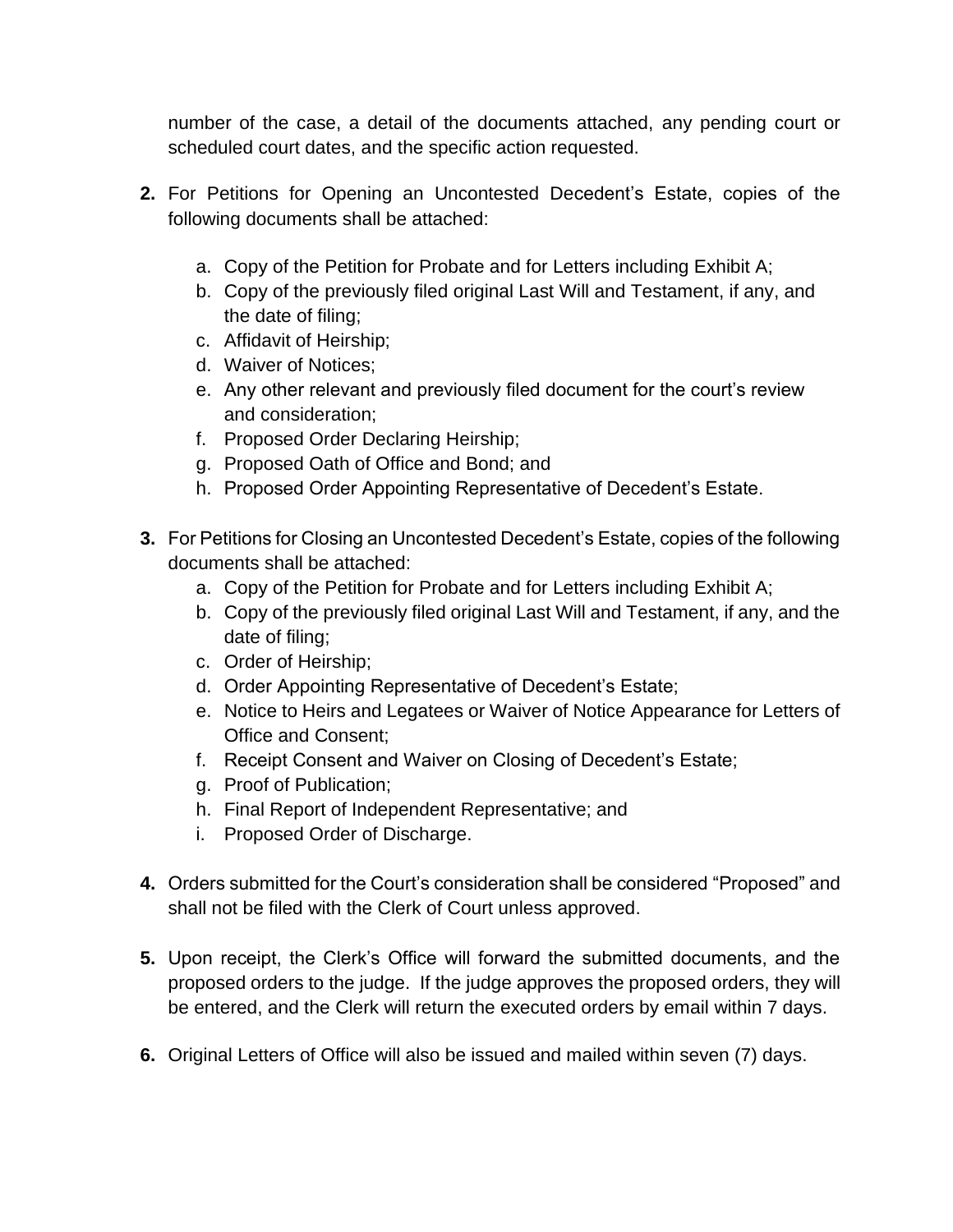number of the case, a detail of the documents attached, any pending court or scheduled court dates, and the specific action requested.

- **2.** For Petitions for Opening an Uncontested Decedent's Estate, copies of the following documents shall be attached:
	- a. Copy of the Petition for Probate and for Letters including Exhibit A;
	- b. Copy of the previously filed original Last Will and Testament, if any, and the date of filing;
	- c. Affidavit of Heirship;
	- d. Waiver of Notices;
	- e. Any other relevant and previously filed document for the court's review and consideration;
	- f. Proposed Order Declaring Heirship;
	- g. Proposed Oath of Office and Bond; and
	- h. Proposed Order Appointing Representative of Decedent's Estate.
- **3.** For Petitions for Closing an Uncontested Decedent's Estate, copies of the following documents shall be attached:
	- a. Copy of the Petition for Probate and for Letters including Exhibit A;
	- b. Copy of the previously filed original Last Will and Testament, if any, and the date of filing;
	- c. Order of Heirship;
	- d. Order Appointing Representative of Decedent's Estate;
	- e. Notice to Heirs and Legatees or Waiver of Notice Appearance for Letters of Office and Consent;
	- f. Receipt Consent and Waiver on Closing of Decedent's Estate;
	- g. Proof of Publication;
	- h. Final Report of Independent Representative; and
	- i. Proposed Order of Discharge.
- **4.** Orders submitted for the Court's consideration shall be considered "Proposed" and shall not be filed with the Clerk of Court unless approved.
- **5.** Upon receipt, the Clerk's Office will forward the submitted documents, and the proposed orders to the judge. If the judge approves the proposed orders, they will be entered, and the Clerk will return the executed orders by email within 7 days.
- **6.** Original Letters of Office will also be issued and mailed within seven (7) days.